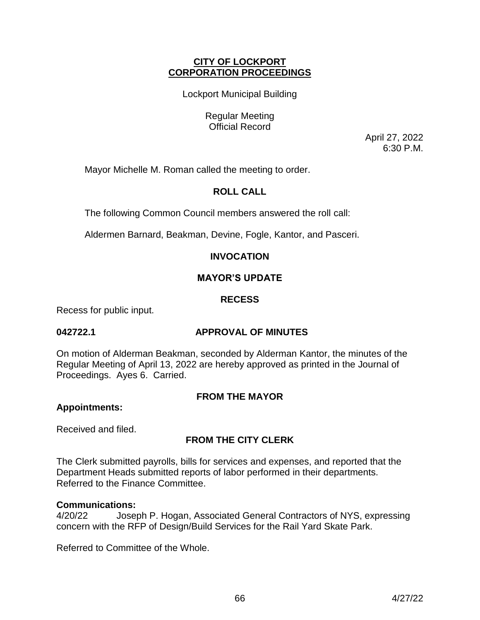# **CITY OF LOCKPORT CORPORATION PROCEEDINGS**

Lockport Municipal Building

Regular Meeting Official Record

April 27, 2022 6:30 P.M.

Mayor Michelle M. Roman called the meeting to order.

# **ROLL CALL**

The following Common Council members answered the roll call:

Aldermen Barnard, Beakman, Devine, Fogle, Kantor, and Pasceri.

# **INVOCATION**

# **MAYOR'S UPDATE**

# **RECESS**

Recess for public input.

# **042722.1 APPROVAL OF MINUTES**

On motion of Alderman Beakman, seconded by Alderman Kantor, the minutes of the Regular Meeting of April 13, 2022 are hereby approved as printed in the Journal of Proceedings. Ayes 6. Carried.

# **FROM THE MAYOR**

# **Appointments:**

Received and filed.

# **FROM THE CITY CLERK**

The Clerk submitted payrolls, bills for services and expenses, and reported that the Department Heads submitted reports of labor performed in their departments. Referred to the Finance Committee.

# **Communications:**

4/20/22 Joseph P. Hogan, Associated General Contractors of NYS, expressing concern with the RFP of Design/Build Services for the Rail Yard Skate Park.

Referred to Committee of the Whole.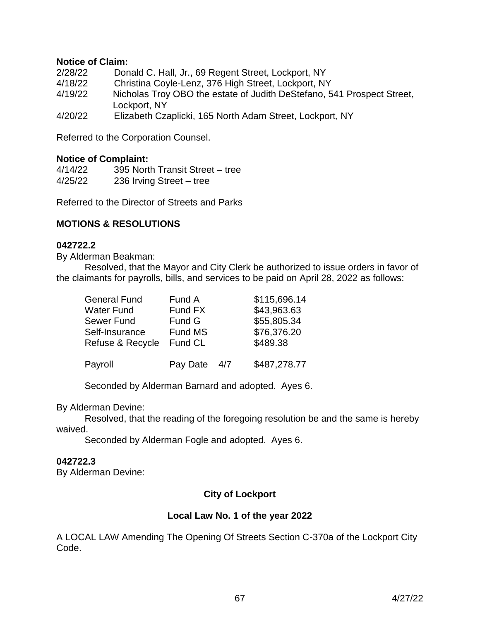# **Notice of Claim:**

| 2/28/22 | Donald C. Hall, Jr., 69 Regent Street, Lockport, NY                                    |
|---------|----------------------------------------------------------------------------------------|
| 4/18/22 | Christina Coyle-Lenz, 376 High Street, Lockport, NY                                    |
| 4/19/22 | Nicholas Troy OBO the estate of Judith DeStefano, 541 Prospect Street,<br>Lockport, NY |
| 4/20/22 | Elizabeth Czaplicki, 165 North Adam Street, Lockport, NY                               |

Referred to the Corporation Counsel.

# **Notice of Complaint:**

4/14/22 395 North Transit Street – tree 4/25/22 236 Irving Street – tree

Referred to the Director of Streets and Parks

# **MOTIONS & RESOLUTIONS**

## **042722.2**

By Alderman Beakman:

Resolved, that the Mayor and City Clerk be authorized to issue orders in favor of the claimants for payrolls, bills, and services to be paid on April 28, 2022 as follows:

| <b>General Fund</b> | Fund A   |     | \$115,696.14 |
|---------------------|----------|-----|--------------|
| Water Fund          | Fund FX  |     | \$43,963.63  |
| Sewer Fund          | Fund G   |     | \$55,805.34  |
| Self-Insurance      | Fund MS  |     | \$76,376.20  |
| Refuse & Recycle    | Fund CL  |     | \$489.38     |
| Payroll             | Pay Date | 4/7 | \$487,278.77 |

Seconded by Alderman Barnard and adopted. Ayes 6.

By Alderman Devine:

Resolved, that the reading of the foregoing resolution be and the same is hereby waived.

Seconded by Alderman Fogle and adopted. Ayes 6.

### **042722.3**

By Alderman Devine:

# **City of Lockport**

# **Local Law No. 1 of the year 2022**

A LOCAL LAW Amending The Opening Of Streets Section C-370a of the Lockport City Code.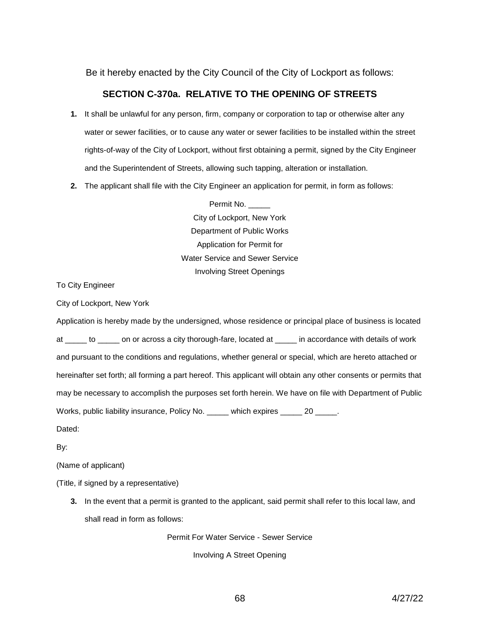Be it hereby enacted by the City Council of the City of Lockport as follows:

# **SECTION C-370a. RELATIVE TO THE OPENING OF STREETS**

- **1.** It shall be unlawful for any person, firm, company or corporation to tap or otherwise alter any water or sewer facilities, or to cause any water or sewer facilities to be installed within the street rights-of-way of the City of Lockport, without first obtaining a permit, signed by the City Engineer and the Superintendent of Streets, allowing such tapping, alteration or installation.
- **2.** The applicant shall file with the City Engineer an application for permit, in form as follows:

Permit No. City of Lockport, New York Department of Public Works Application for Permit for Water Service and Sewer Service Involving Street Openings

To City Engineer

City of Lockport, New York

Application is hereby made by the undersigned, whose residence or principal place of business is located at \_\_\_\_\_ to \_\_\_\_\_ on or across a city thorough-fare, located at \_\_\_\_\_ in accordance with details of work and pursuant to the conditions and regulations, whether general or special, which are hereto attached or hereinafter set forth; all forming a part hereof. This applicant will obtain any other consents or permits that may be necessary to accomplish the purposes set forth herein. We have on file with Department of Public Works, public liability insurance, Policy No. \_\_\_\_\_ which expires \_\_\_\_\_ 20 \_\_\_\_\_.

Dated:

By:

(Name of applicant)

(Title, if signed by a representative)

**3.** In the event that a permit is granted to the applicant, said permit shall refer to this local law, and shall read in form as follows:

Permit For Water Service - Sewer Service

Involving A Street Opening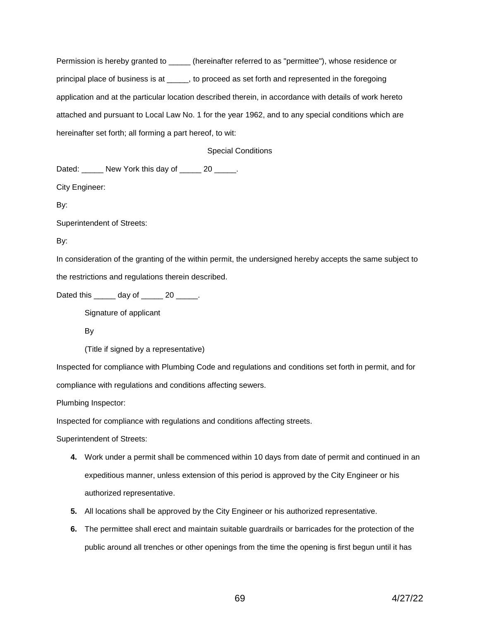Permission is hereby granted to \_\_\_\_\_ (hereinafter referred to as "permittee"), whose residence or principal place of business is at \_\_\_\_\_, to proceed as set forth and represented in the foregoing application and at the particular location described therein, in accordance with details of work hereto attached and pursuant to Local Law No. 1 for the year 1962, and to any special conditions which are hereinafter set forth; all forming a part hereof, to wit:

#### Special Conditions

Dated: \_\_\_\_\_\_ New York this day of \_\_\_\_\_ 20 \_\_\_\_\_.

City Engineer:

By:

Superintendent of Streets:

By:

In consideration of the granting of the within permit, the undersigned hereby accepts the same subject to the restrictions and regulations therein described.

Dated this day of 20 .

Signature of applicant

By

(Title if signed by a representative)

Inspected for compliance with Plumbing Code and regulations and conditions set forth in permit, and for compliance with regulations and conditions affecting sewers.

Plumbing Inspector:

Inspected for compliance with regulations and conditions affecting streets.

Superintendent of Streets:

- **4.** Work under a permit shall be commenced within 10 days from date of permit and continued in an expeditious manner, unless extension of this period is approved by the City Engineer or his authorized representative.
- **5.** All locations shall be approved by the City Engineer or his authorized representative.
- **6.** The permittee shall erect and maintain suitable guardrails or barricades for the protection of the public around all trenches or other openings from the time the opening is first begun until it has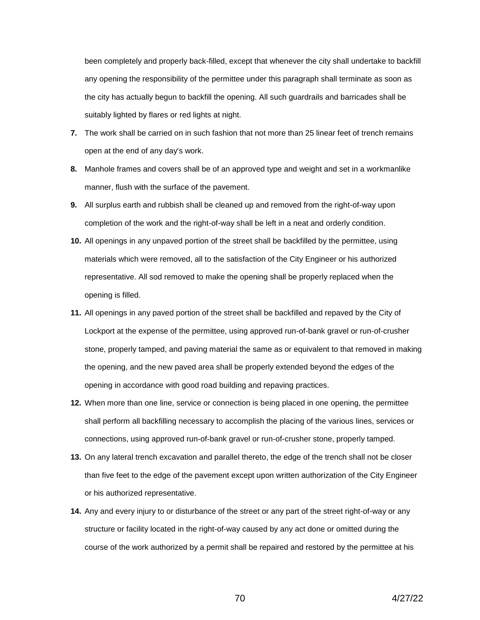been completely and properly back-filled, except that whenever the city shall undertake to backfill any opening the responsibility of the permittee under this paragraph shall terminate as soon as the city has actually begun to backfill the opening. All such guardrails and barricades shall be suitably lighted by flares or red lights at night.

- **7.** The work shall be carried on in such fashion that not more than 25 linear feet of trench remains open at the end of any day's work.
- **8.** Manhole frames and covers shall be of an approved type and weight and set in a workmanlike manner, flush with the surface of the pavement.
- **9.** All surplus earth and rubbish shall be cleaned up and removed from the right-of-way upon completion of the work and the right-of-way shall be left in a neat and orderly condition.
- **10.** All openings in any unpaved portion of the street shall be backfilled by the permittee, using materials which were removed, all to the satisfaction of the City Engineer or his authorized representative. All sod removed to make the opening shall be properly replaced when the opening is filled.
- **11.** All openings in any paved portion of the street shall be backfilled and repaved by the City of Lockport at the expense of the permittee, using approved run-of-bank gravel or run-of-crusher stone, properly tamped, and paving material the same as or equivalent to that removed in making the opening, and the new paved area shall be properly extended beyond the edges of the opening in accordance with good road building and repaving practices.
- **12.** When more than one line, service or connection is being placed in one opening, the permittee shall perform all backfilling necessary to accomplish the placing of the various lines, services or connections, using approved run-of-bank gravel or run-of-crusher stone, properly tamped.
- **13.** On any lateral trench excavation and parallel thereto, the edge of the trench shall not be closer than five feet to the edge of the pavement except upon written authorization of the City Engineer or his authorized representative.
- **14.** Any and every injury to or disturbance of the street or any part of the street right-of-way or any structure or facility located in the right-of-way caused by any act done or omitted during the course of the work authorized by a permit shall be repaired and restored by the permittee at his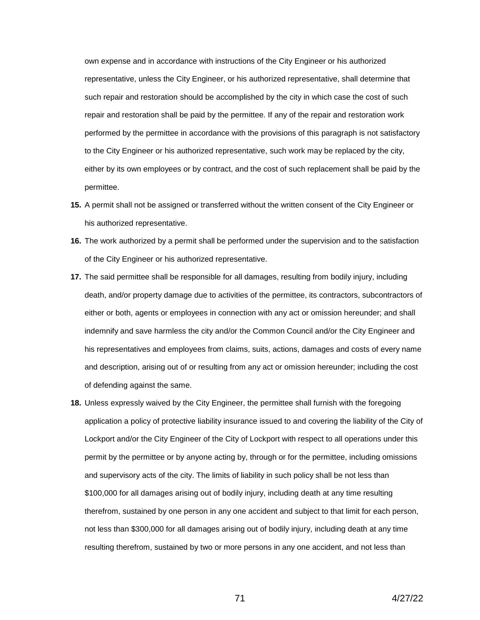own expense and in accordance with instructions of the City Engineer or his authorized representative, unless the City Engineer, or his authorized representative, shall determine that such repair and restoration should be accomplished by the city in which case the cost of such repair and restoration shall be paid by the permittee. If any of the repair and restoration work performed by the permittee in accordance with the provisions of this paragraph is not satisfactory to the City Engineer or his authorized representative, such work may be replaced by the city, either by its own employees or by contract, and the cost of such replacement shall be paid by the permittee.

- **15.** A permit shall not be assigned or transferred without the written consent of the City Engineer or his authorized representative.
- **16.** The work authorized by a permit shall be performed under the supervision and to the satisfaction of the City Engineer or his authorized representative.
- **17.** The said permittee shall be responsible for all damages, resulting from bodily injury, including death, and/or property damage due to activities of the permittee, its contractors, subcontractors of either or both, agents or employees in connection with any act or omission hereunder; and shall indemnify and save harmless the city and/or the Common Council and/or the City Engineer and his representatives and employees from claims, suits, actions, damages and costs of every name and description, arising out of or resulting from any act or omission hereunder; including the cost of defending against the same.
- **18.** Unless expressly waived by the City Engineer, the permittee shall furnish with the foregoing application a policy of protective liability insurance issued to and covering the liability of the City of Lockport and/or the City Engineer of the City of Lockport with respect to all operations under this permit by the permittee or by anyone acting by, through or for the permittee, including omissions and supervisory acts of the city. The limits of liability in such policy shall be not less than \$100,000 for all damages arising out of bodily injury, including death at any time resulting therefrom, sustained by one person in any one accident and subject to that limit for each person, not less than \$300,000 for all damages arising out of bodily injury, including death at any time resulting therefrom, sustained by two or more persons in any one accident, and not less than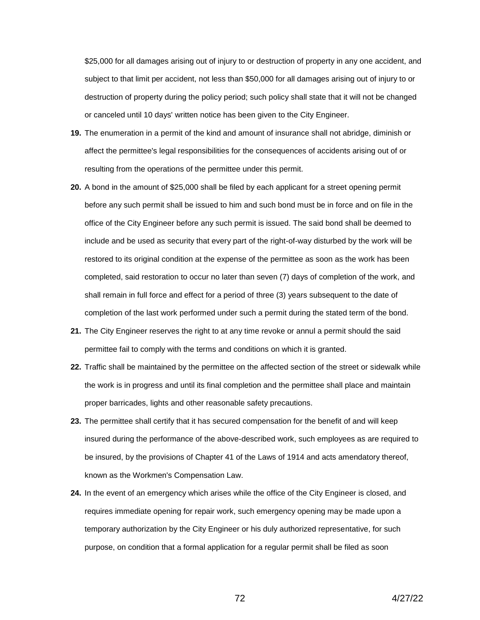\$25,000 for all damages arising out of injury to or destruction of property in any one accident, and subject to that limit per accident, not less than \$50,000 for all damages arising out of injury to or destruction of property during the policy period; such policy shall state that it will not be changed or canceled until 10 days' written notice has been given to the City Engineer.

- **19.** The enumeration in a permit of the kind and amount of insurance shall not abridge, diminish or affect the permittee's legal responsibilities for the consequences of accidents arising out of or resulting from the operations of the permittee under this permit.
- **20.** A bond in the amount of \$25,000 shall be filed by each applicant for a street opening permit before any such permit shall be issued to him and such bond must be in force and on file in the office of the City Engineer before any such permit is issued. The said bond shall be deemed to include and be used as security that every part of the right-of-way disturbed by the work will be restored to its original condition at the expense of the permittee as soon as the work has been completed, said restoration to occur no later than seven (7) days of completion of the work, and shall remain in full force and effect for a period of three (3) years subsequent to the date of completion of the last work performed under such a permit during the stated term of the bond.
- **21.** The City Engineer reserves the right to at any time revoke or annul a permit should the said permittee fail to comply with the terms and conditions on which it is granted.
- **22.** Traffic shall be maintained by the permittee on the affected section of the street or sidewalk while the work is in progress and until its final completion and the permittee shall place and maintain proper barricades, lights and other reasonable safety precautions.
- **23.** The permittee shall certify that it has secured compensation for the benefit of and will keep insured during the performance of the above-described work, such employees as are required to be insured, by the provisions of Chapter 41 of the Laws of 1914 and acts amendatory thereof, known as the Workmen's Compensation Law.
- **24.** In the event of an emergency which arises while the office of the City Engineer is closed, and requires immediate opening for repair work, such emergency opening may be made upon a temporary authorization by the City Engineer or his duly authorized representative, for such purpose, on condition that a formal application for a regular permit shall be filed as soon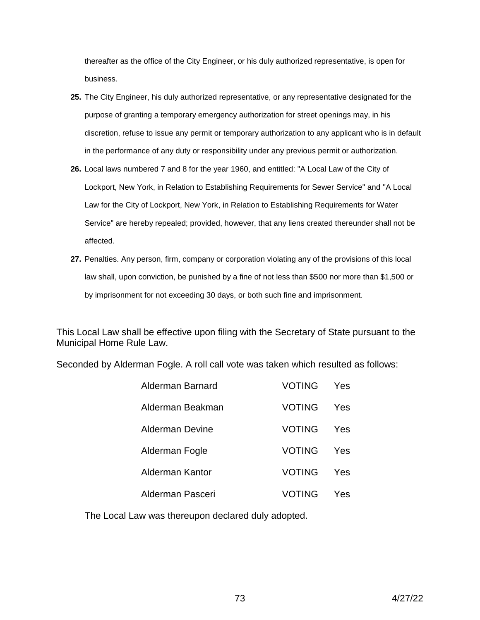thereafter as the office of the City Engineer, or his duly authorized representative, is open for business.

- **25.** The City Engineer, his duly authorized representative, or any representative designated for the purpose of granting a temporary emergency authorization for street openings may, in his discretion, refuse to issue any permit or temporary authorization to any applicant who is in default in the performance of any duty or responsibility under any previous permit or authorization.
- **26.** Local laws numbered 7 and 8 for the year 1960, and entitled: "A Local Law of the City of Lockport, New York, in Relation to Establishing Requirements for Sewer Service" and "A Local Law for the City of Lockport, New York, in Relation to Establishing Requirements for Water Service" are hereby repealed; provided, however, that any liens created thereunder shall not be affected.
- **27.** Penalties. Any person, firm, company or corporation violating any of the provisions of this local law shall, upon conviction, be punished by a fine of not less than \$500 nor more than \$1,500 or by imprisonment for not exceeding 30 days, or both such fine and imprisonment.

This Local Law shall be effective upon filing with the Secretary of State pursuant to the Municipal Home Rule Law.

Seconded by Alderman Fogle. A roll call vote was taken which resulted as follows:

| Alderman Barnard | <b>VOTING</b> | Yes |
|------------------|---------------|-----|
| Alderman Beakman | VOTING        | Yes |
| Alderman Devine  | VOTING        | Yes |
| Alderman Fogle   | VOTING        | Yes |
| Alderman Kantor  | <b>VOTING</b> | Yes |
| Alderman Pasceri | VOTING        | Yes |

The Local Law was thereupon declared duly adopted.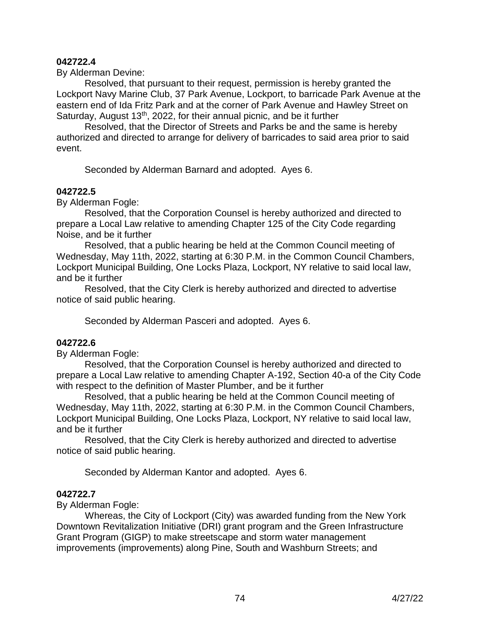## **042722.4**

By Alderman Devine:

Resolved, that pursuant to their request, permission is hereby granted the Lockport Navy Marine Club, 37 Park Avenue, Lockport, to barricade Park Avenue at the eastern end of Ida Fritz Park and at the corner of Park Avenue and Hawley Street on Saturday, August  $13<sup>th</sup>$ , 2022, for their annual picnic, and be it further

Resolved, that the Director of Streets and Parks be and the same is hereby authorized and directed to arrange for delivery of barricades to said area prior to said event.

Seconded by Alderman Barnard and adopted. Ayes 6.

## **042722.5**

By Alderman Fogle:

Resolved, that the Corporation Counsel is hereby authorized and directed to prepare a Local Law relative to amending Chapter 125 of the City Code regarding Noise, and be it further

Resolved, that a public hearing be held at the Common Council meeting of Wednesday, May 11th, 2022, starting at 6:30 P.M. in the Common Council Chambers, Lockport Municipal Building, One Locks Plaza, Lockport, NY relative to said local law, and be it further

Resolved, that the City Clerk is hereby authorized and directed to advertise notice of said public hearing.

Seconded by Alderman Pasceri and adopted. Ayes 6.

# **042722.6**

By Alderman Fogle:

Resolved, that the Corporation Counsel is hereby authorized and directed to prepare a Local Law relative to amending Chapter A-192, Section 40-a of the City Code with respect to the definition of Master Plumber, and be it further

Resolved, that a public hearing be held at the Common Council meeting of Wednesday, May 11th, 2022, starting at 6:30 P.M. in the Common Council Chambers, Lockport Municipal Building, One Locks Plaza, Lockport, NY relative to said local law, and be it further

Resolved, that the City Clerk is hereby authorized and directed to advertise notice of said public hearing.

Seconded by Alderman Kantor and adopted. Ayes 6.

### **042722.7**

By Alderman Fogle:

 Whereas, the City of Lockport (City) was awarded funding from the New York Downtown Revitalization Initiative (DRI) grant program and the Green Infrastructure Grant Program (GIGP) to make streetscape and storm water management improvements (improvements) along Pine, South and Washburn Streets; and